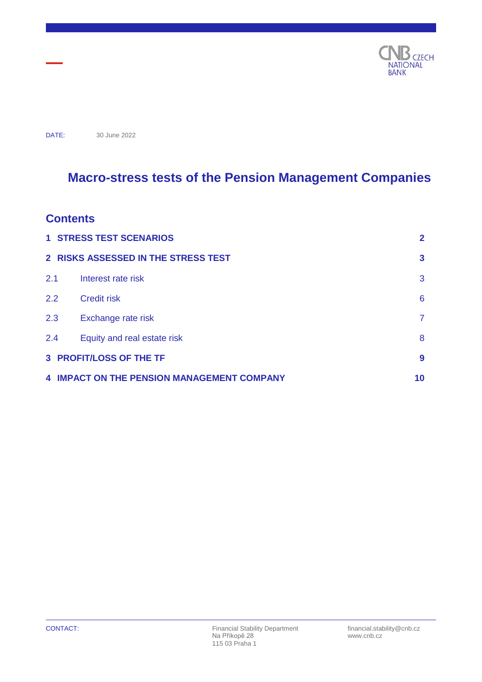

DATE: 30 June 2022

# **Macro-stress tests of the Pension Management Companies**

## **Contents**

|                         | <b>1 STRESS TEST SCENARIOS</b>                    | $\mathbf{2}$   |  |
|-------------------------|---------------------------------------------------|----------------|--|
|                         | 2 RISKS ASSESSED IN THE STRESS TEST               | $\mathbf{3}$   |  |
| 2.1                     | Interest rate risk                                | 3              |  |
| 2.2                     | <b>Credit risk</b>                                | 6              |  |
| 2.3                     | Exchange rate risk                                | $\overline{7}$ |  |
| 2.4                     | Equity and real estate risk                       | 8              |  |
| 3 PROFIT/LOSS OF THE TF |                                                   |                |  |
|                         | <b>4 IMPACT ON THE PENSION MANAGEMENT COMPANY</b> | 10             |  |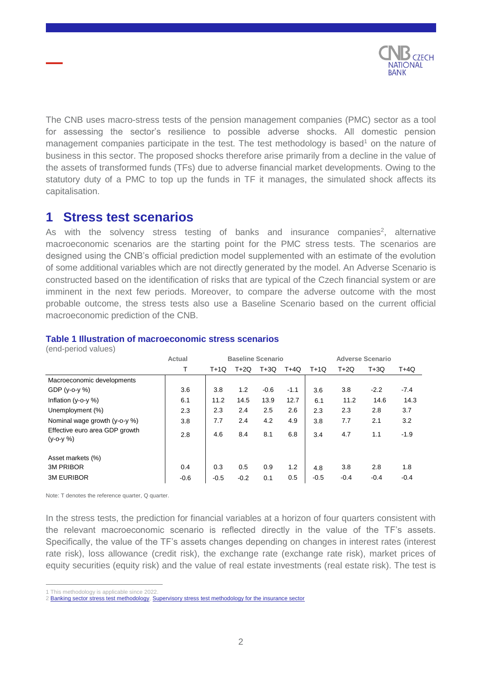

The CNB uses macro-stress tests of the pension management companies (PMC) sector as a tool for assessing the sector's resilience to possible adverse shocks. All domestic pension management companies participate in the test. The test methodology is based<sup>1</sup> on the nature of business in this sector. The proposed shocks therefore arise primarily from a decline in the value of the assets of transformed funds (TFs) due to adverse financial market developments. Owing to the statutory duty of a PMC to top up the funds in TF it manages, the simulated shock affects its capitalisation.

## <span id="page-1-0"></span>**1 Stress test scenarios**

As with the solvency stress testing of banks and insurance companies<sup>2</sup>, alternative macroeconomic scenarios are the starting point for the PMC stress tests. The scenarios are designed using the CNB's official prediction model supplemented with an estimate of the evolution of some additional variables which are not directly generated by the model. An Adverse Scenario is constructed based on the identification of risks that are typical of the Czech financial system or are imminent in the next few periods. Moreover, to compare the adverse outcome with the most probable outcome, the stress tests also use a Baseline Scenario based on the current official macroeconomic prediction of the CNB.

#### **Table 1 Illustration of macroeconomic stress scenarios**

(end-period values)

|                                                    | <b>Actual</b> | <b>Baseline Scenario</b> |        |        |        | <b>Adverse Scenario</b> |        |        |        |
|----------------------------------------------------|---------------|--------------------------|--------|--------|--------|-------------------------|--------|--------|--------|
|                                                    |               | T+1Q                     | $T+2Q$ | $T+3Q$ | T+4Q   | $T+1Q$                  | $T+2Q$ | $T+3Q$ | T+4Q   |
| Macroeconomic developments                         |               |                          |        |        |        |                         |        |        |        |
| GDP $(y - 0 - y \%)$                               | 3.6           | 3.8                      | 1.2    | $-0.6$ | $-1.1$ | 3.6                     | 3.8    | $-2.2$ | $-7.4$ |
| Inflation $(y-o-y \%)$                             | 6.1           | 11.2                     | 14.5   | 13.9   | 12.7   | 6.1                     | 11.2   | 14.6   | 14.3   |
| Unemployment (%)                                   | 2.3           | 2.3                      | 2.4    | 2.5    | 2.6    | 2.3                     | 2.3    | 2.8    | 3.7    |
| Nominal wage growth (y-o-y %)                      | 3.8           | 7.7                      | 2.4    | 4.2    | 4.9    | 3.8                     | 7.7    | 2.1    | 3.2    |
| Effective euro area GDP growth<br>$(y - 0 - y \%)$ | 2.8           | 4.6                      | 8.4    | 8.1    | 6.8    | 3.4                     | 4.7    | 1.1    | $-1.9$ |
| Asset markets (%)                                  |               |                          |        |        |        |                         |        |        |        |
| <b>3M PRIBOR</b>                                   | 0.4           | 0.3                      | 0.5    | 0.9    | 1.2    | 4.8                     | 3.8    | 2.8    | 1.8    |
| <b>3M EURIBOR</b>                                  | $-0.6$        | $-0.5$                   | $-0.2$ | 0.1    | 0.5    | $-0.5$                  | $-0.4$ | $-0.4$ | $-0.4$ |

Note: T denotes the reference quarter, Q quarter.

In the stress tests, the prediction for financial variables at a horizon of four quarters consistent with the relevant macroeconomic scenario is reflected directly in the value of the TF's assets. Specifically, the value of the TF's assets changes depending on changes in interest rates (interest rate risk), loss allowance (credit risk), the exchange rate (exchange rate risk), market prices of equity securities (equity risk) and the value of real estate investments (real estate risk). The test is

 $\overline{a}$ 1 This methodology is applicable since 2022.

<sup>2</sup> [Banking sector stress test methodology,](https://www.cnb.cz/en/financial-stability/stress-testing/banking-sector/) [Supervisory stress test methodology for the insurance sector](https://www.cnb.cz/export/sites/cnb/en/financial-stability/.galleries/stress_testing/download/stress_testing_insurance_companies_methodology.pdf)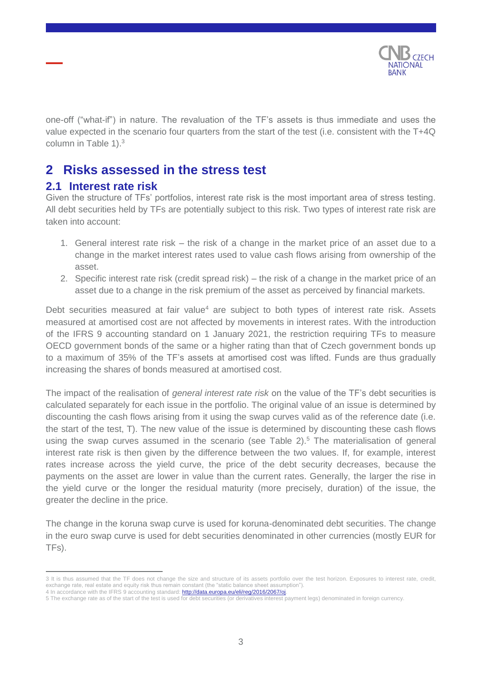

one-off ("what-if") in nature. The revaluation of the TF's assets is thus immediate and uses the value expected in the scenario four quarters from the start of the test (i.e. consistent with the T+4Q column in Table 1).<sup>3</sup>

# <span id="page-2-0"></span>**2 Risks assessed in the stress test**

## <span id="page-2-1"></span>**2.1 Interest rate risk**

Given the structure of TFs' portfolios, interest rate risk is the most important area of stress testing. All debt securities held by TFs are potentially subject to this risk. Two types of interest rate risk are taken into account:

- 1. General interest rate risk the risk of a change in the market price of an asset due to a change in the market interest rates used to value cash flows arising from ownership of the asset.
- 2. Specific interest rate risk (credit spread risk) the risk of a change in the market price of an asset due to a change in the risk premium of the asset as perceived by financial markets.

Debt securities measured at fair value<sup>4</sup> are subject to both types of interest rate risk. Assets measured at amortised cost are not affected by movements in interest rates. With the introduction of the IFRS 9 accounting standard on 1 January 2021, the restriction requiring TFs to measure OECD government bonds of the same or a higher rating than that of Czech government bonds up to a maximum of 35% of the TF's assets at amortised cost was lifted. Funds are thus gradually increasing the shares of bonds measured at amortised cost.

The impact of the realisation of *general interest rate risk* on the value of the TF's debt securities is calculated separately for each issue in the portfolio. The original value of an issue is determined by discounting the cash flows arising from it using the swap curves valid as of the reference date (i.e. the start of the test, T). The new value of the issue is determined by discounting these cash flows using the swap curves assumed in the scenario (see Table  $2$ ).<sup>5</sup> The materialisation of general interest rate risk is then given by the difference between the two values. If, for example, interest rates increase across the yield curve, the price of the debt security decreases, because the payments on the asset are lower in value than the current rates. Generally, the larger the rise in the yield curve or the longer the residual maturity (more precisely, duration) of the issue, the greater the decline in the price.

The change in the koruna swap curve is used for koruna-denominated debt securities. The change in the euro swap curve is used for debt securities denominated in other currencies (mostly EUR for TFs).

 $\overline{a}$ 3 It is thus assumed that the TF does not change the size and structure of its assets portfolio over the test horizon. Exposures to interest rate, credit, exchange rate, real estate and equity risk thus remain constant (the "static balance sheet assumption"). 4 In accordance with the IFRS 9 accounting standard: [http://data.europa.eu/eli/reg/2016/2067/oj.](http://data.europa.eu/eli/reg/2016/2067/oj)

<sup>5</sup> The exchange rate as of the start of the test is used for debt securities (or derivatives interest payment legs) denominated in foreign currency.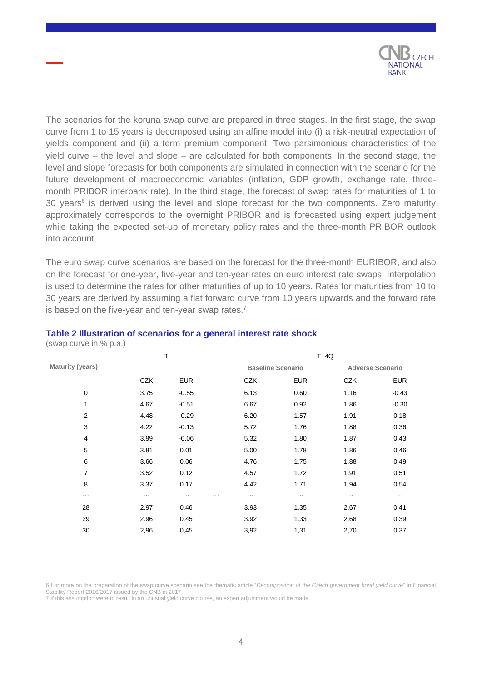

The scenarios for the koruna swap curve are prepared in three stages. In the first stage, the swap curve from 1 to 15 years is decomposed using an affine model into (i) a risk-neutral expectation of yields component and (ii) a term premium component. Two parsimonious characteristics of the yield curve – the level and slope – are calculated for both components. In the second stage, the level and slope forecasts for both components are simulated in connection with the scenario for the future development of macroeconomic variables (inflation, GDP growth, exchange rate, threemonth PRIBOR interbank rate). In the third stage, the forecast of swap rates for maturities of 1 to 30 years $6$  is derived using the level and slope forecast for the two components. Zero maturity approximately corresponds to the overnight PRIBOR and is forecasted using expert judgement while taking the expected set-up of monetary policy rates and the three-month PRIBOR outlook into account.

The euro swap curve scenarios are based on the forecast for the three-month EURIBOR, and also on the forecast for one-year, five-year and ten-year rates on euro interest rate swaps. Interpolation is used to determine the rates for other maturities of up to 10 years. Rates for maturities from 10 to 30 years are derived by assuming a flat forward curve from 10 years upwards and the forward rate is based on the five-year and ten-year swap rates.<sup>7</sup>

|                         |                      | Τ                                |                          |                      | $T+4Q$               |                         |
|-------------------------|----------------------|----------------------------------|--------------------------|----------------------|----------------------|-------------------------|
| <b>Maturity (years)</b> |                      |                                  | <b>Baseline Scenario</b> |                      |                      | <b>Adverse Scenario</b> |
|                         | <b>CZK</b>           | <b>EUR</b>                       | <b>CZK</b>               | <b>EUR</b>           | <b>CZK</b>           | <b>EUR</b>              |
| $\mathbf 0$             | 3.75                 | $-0.55$                          | 6.13                     | 0.60                 | 1.16                 | $-0.43$                 |
| 1                       | 4.67                 | $-0.51$                          | 6.67                     | 0.92                 | 1.86                 | $-0.30$                 |
| $\overline{\mathbf{c}}$ | 4.48                 | $-0.29$                          | 6.20                     | 1.57                 | 1.91                 | 0.18                    |
| $\mathbf{3}$            | 4.22                 | $-0.13$                          | 5.72                     | 1.76                 | 1.88                 | 0.36                    |
| 4                       | 3.99                 | $-0.06$                          | 5.32                     | 1.80                 | 1.87                 | 0.43                    |
| 5                       | 3.81                 | 0.01                             | 5.00                     | 1.78                 | 1.86                 | 0.46                    |
| 6                       | 3.66                 | 0.06                             | 4.76                     | 1.75                 | 1.88                 | 0.49                    |
| $\overline{7}$          | 3.52                 | 0.12                             | 4.57                     | 1.72                 | 1.91                 | 0.51                    |
| 8                       | 3.37                 | 0.17                             | 4.42                     | 1.71                 | 1.94                 | 0.54                    |
| $\cdots$                | $\sim$ $\sim$ $\sim$ | $\cdots$<br>$\sim$ $\sim$ $\sim$ | $\sim$ $\sim$ $\sim$     | $\sim$ $\sim$ $\sim$ | $\sim$ $\sim$ $\sim$ | $\cdots$                |
| 28                      | 2.97                 | 0.46                             | 3.93                     | 1.35                 | 2.67                 | 0.41                    |
| 29                      | 2.96                 | 0.45                             | 3.92                     | 1.33                 | 2.68                 | 0.39                    |
| 30                      | 2,96                 | 0,45                             | 3,92                     | 1,31                 | 2,70                 | 0,37                    |

#### **Table 2 Illustration of scenarios for a general interest rate shock**

(swap curve in % p.a.)

<sup>6</sup> For more on the preparation of the swap curve scenario see the thematic article "*Decomposition of the Czech government bond yield curve*" in Financial Stability Report 2016/2017 issued by the CNB in 2017.

<sup>7</sup> If this assumption were to result in an unusual yield curve course, an expert adjustment would be made.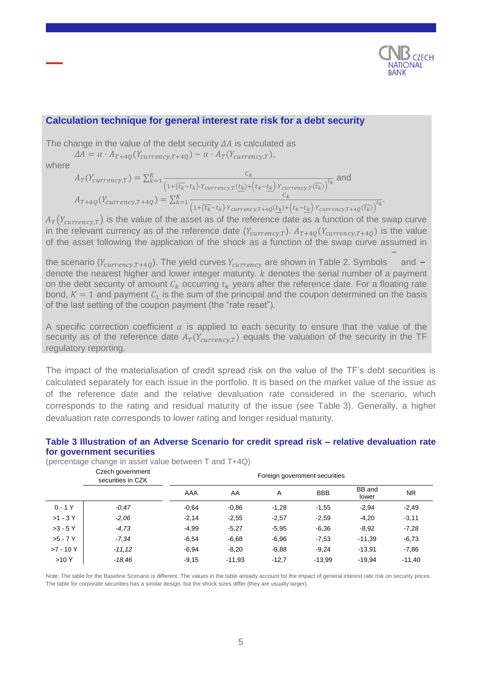

 $\overline{t_k}$ .

#### **Calculation technique for general interest rate risk for a debt security**

The change in the value of the debt security  $\Delta A$  is calculated as

 $\Delta A = \alpha \cdot A_{T+4Q}(Y_{\text{currency},T+4Q}) - \alpha \cdot A_T(Y_{\text{currency},T}),$ 

where

$$
A_T(Y_{currency,T}) = \sum_{k=1}^{K} \frac{c_k}{\left(1 + (\overline{t_k} - t_k) \cdot Y_{currency,T}(\underline{t_k}) + (t_k - \underline{t_k}) \cdot Y_{currency,T}(\overline{t_k})\right)^{t_k}} \text{ and}
$$
  

$$
A_{T+4Q}(Y_{currency,T+4Q}) = \sum_{k=1}^{K} \frac{c_k}{\left(1 + (\overline{t_k} - t_k) \cdot Y_{currency,T+4Q}(t_k) + (t_k - t_k) \cdot Y_{currency,T+4Q}(\overline{t_k})\right)}
$$

 $A_T(Y_{\text{currency},T})$  is the value of the asset as of the reference date as a function of the swap curve in the relevant currency as of the reference date  $(Y_{currency,T})$ .  $A_{T+4Q}(Y_{currency,T+4Q})$  is the value of the asset following the application of the shock as a function of the swap curve assumed in

the scenario ( $Y_{\text{currentcy},T+40}$ ). The yield curves  $Y_{\text{currentcy}}$  are shown in Table 2. Symbols and denote the nearest higher and lower integer maturity.  $k$  denotes the serial number of a payment on the debt security of amount  $C_k$  occurring  $t_k$  years after the reference date. For a floating rate bond,  $K = 1$  and payment  $C_1$  is the sum of the principal and the coupon determined on the basis of the last setting of the coupon payment (the "rate reset").

A specific correction coefficient  $\alpha$  is applied to each security to ensure that the value of the security as of the reference date  $A_T(Y_{currentV,T})$  equals the valuation of the security in the TF regulatory reporting.

The impact of the materialisation of credit spread risk on the value of the TF's debt securities is calculated separately for each issue in the portfolio. It is based on the market value of the issue as of the reference date and the relative devaluation rate considered in the scenario, which corresponds to the rating and residual maturity of the issue (see Table 3). Generally, a higher devaluation rate corresponds to lower rating and longer residual maturity.

#### Czech government securities in CZK<br>securities in CZK AAA AA A BBB Band BB and<br>lower NR 0 - 1 Y *-0,47* -0,64 -0,86 -1,28 -1,55 -2,94 -2,49 >1 - 3 Y *-2,06* -2,14 -2,55 -2,57 -2,59 -4,20 -3,11 >3 - 5 Y *-4,73* -4,99 -5,27 -5,95 -6,36 -8,92 -7,28 >5 - 7 Y *-7,34* -6,54 -6,68 -6,96 -7,53 -11,39 -6,73 >7 - 10 Y *-11,12* -6,94 -8,20 -8,88 -9,24 -13,91 -7,86

**Table 3 Illustration of an Adverse Scenario for credit spread risk – relative devaluation rate for government securities**

(percentage change in asset value between T and T+4Q)

Note: The table for the Baseline Scenario is different. The values in the table already account for the impact of general interest rate risk on security prices. The table for corporate securities has a similar design, but the shock sizes differ (they are usually larger).

>10 Y *-18,46* -9,15 -11,93 -12,7 -13,99 -19,94 -11,40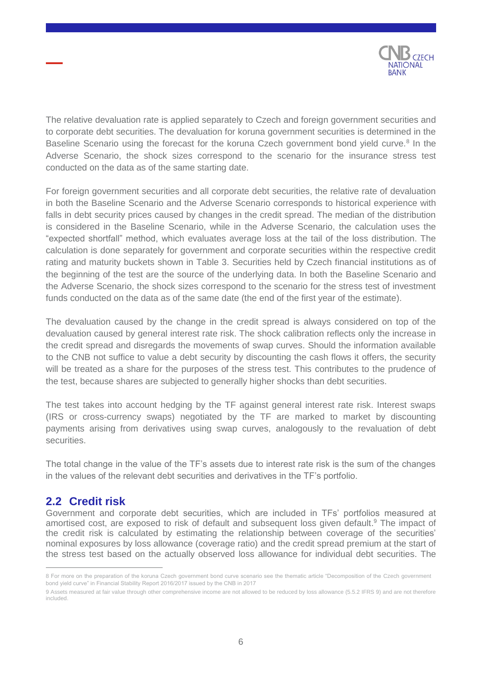

The relative devaluation rate is applied separately to Czech and foreign government securities and to corporate debt securities. The devaluation for koruna government securities is determined in the Baseline Scenario using the forecast for the koruna Czech government bond yield curve.<sup>8</sup> In the Adverse Scenario, the shock sizes correspond to the scenario for the insurance stress test conducted on the data as of the same starting date.

For foreign government securities and all corporate debt securities, the relative rate of devaluation in both the Baseline Scenario and the Adverse Scenario corresponds to historical experience with falls in debt security prices caused by changes in the credit spread. The median of the distribution is considered in the Baseline Scenario, while in the Adverse Scenario, the calculation uses the "expected shortfall" method, which evaluates average loss at the tail of the loss distribution. The calculation is done separately for government and corporate securities within the respective credit rating and maturity buckets shown in Table 3. Securities held by Czech financial institutions as of the beginning of the test are the source of the underlying data. In both the Baseline Scenario and the Adverse Scenario, the shock sizes correspond to the scenario for the stress test of investment funds conducted on the data as of the same date (the end of the first year of the estimate).

The devaluation caused by the change in the credit spread is always considered on top of the devaluation caused by general interest rate risk. The shock calibration reflects only the increase in the credit spread and disregards the movements of swap curves. Should the information available to the CNB not suffice to value a debt security by discounting the cash flows it offers, the security will be treated as a share for the purposes of the stress test. This contributes to the prudence of the test, because shares are subjected to generally higher shocks than debt securities.

The test takes into account hedging by the TF against general interest rate risk. Interest swaps (IRS or cross-currency swaps) negotiated by the TF are marked to market by discounting payments arising from derivatives using swap curves, analogously to the revaluation of debt securities.

The total change in the value of the TF's assets due to interest rate risk is the sum of the changes in the values of the relevant debt securities and derivatives in the TF's portfolio.

## <span id="page-5-0"></span>**2.2 Credit risk**

 $\overline{a}$ 

Government and corporate debt securities, which are included in TFs' portfolios measured at amortised cost, are exposed to risk of default and subsequent loss given default.<sup>9</sup> The impact of the credit risk is calculated by estimating the relationship between coverage of the securities' nominal exposures by loss allowance (coverage ratio) and the credit spread premium at the start of the stress test based on the actually observed loss allowance for individual debt securities. The

<sup>8</sup> For more on the preparation of the koruna Czech government bond curve scenario see the thematic article "Decomposition of the Czech government bond yield curve" in Financial Stability Report 2016/2017 issued by the CNB in 2017

<sup>9</sup> Assets measured at fair value through other comprehensive income are not allowed to be reduced by loss allowance (5.5.2 IFRS 9) and are not therefore included.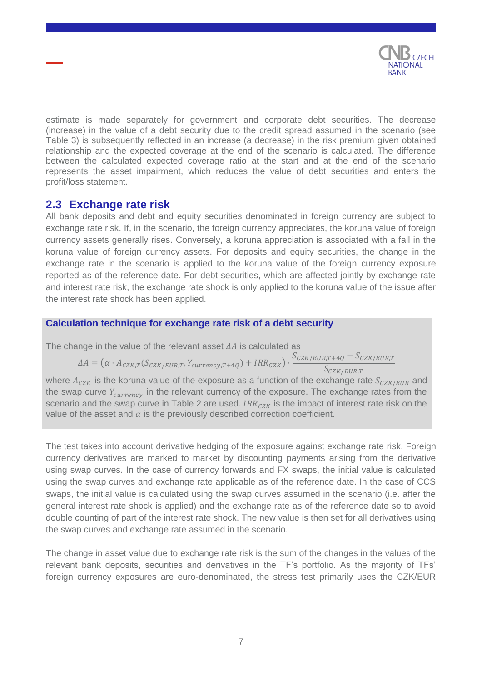

estimate is made separately for government and corporate debt securities. The decrease (increase) in the value of a debt security due to the credit spread assumed in the scenario (see Table 3) is subsequently reflected in an increase (a decrease) in the risk premium given obtained relationship and the expected coverage at the end of the scenario is calculated. The difference between the calculated expected coverage ratio at the start and at the end of the scenario represents the asset impairment, which reduces the value of debt securities and enters the profit/loss statement.

## <span id="page-6-0"></span>**2.3 Exchange rate risk**

All bank deposits and debt and equity securities denominated in foreign currency are subject to exchange rate risk. If, in the scenario, the foreign currency appreciates, the koruna value of foreign currency assets generally rises. Conversely, a koruna appreciation is associated with a fall in the koruna value of foreign currency assets. For deposits and equity securities, the change in the exchange rate in the scenario is applied to the koruna value of the foreign currency exposure reported as of the reference date. For debt securities, which are affected jointly by exchange rate and interest rate risk, the exchange rate shock is only applied to the koruna value of the issue after the interest rate shock has been applied.

## **Calculation technique for exchange rate risk of a debt security**

The change in the value of the relevant asset  $\Delta A$  is calculated as

$$
\varDelta A = (\alpha \cdot A_{CZK,T}(S_{CZK/EUR,T}, Y_{currency,T+4Q}) + IRR_{CZK}) \cdot \frac{S_{CZK/EUR,T+4Q} - S_{CZK/EUR,T}}{S_{CZK/EUR,T}}
$$

where  $A_{CZK}$  is the koruna value of the exposure as a function of the exchange rate  $S_{CZK/EUR}$  and the swap curve  $Y_{\text{currency}}$  in the relevant currency of the exposure. The exchange rates from the scenario and the swap curve in Table 2 are used.  $IRR_{CZK}$  is the impact of interest rate risk on the value of the asset and  $\alpha$  is the previously described correction coefficient.

The test takes into account derivative hedging of the exposure against exchange rate risk. Foreign currency derivatives are marked to market by discounting payments arising from the derivative using swap curves. In the case of currency forwards and FX swaps, the initial value is calculated using the swap curves and exchange rate applicable as of the reference date. In the case of CCS swaps, the initial value is calculated using the swap curves assumed in the scenario (i.e. after the general interest rate shock is applied) and the exchange rate as of the reference date so to avoid double counting of part of the interest rate shock. The new value is then set for all derivatives using the swap curves and exchange rate assumed in the scenario.

The change in asset value due to exchange rate risk is the sum of the changes in the values of the relevant bank deposits, securities and derivatives in the TF's portfolio. As the majority of TFs' foreign currency exposures are euro-denominated, the stress test primarily uses the CZK/EUR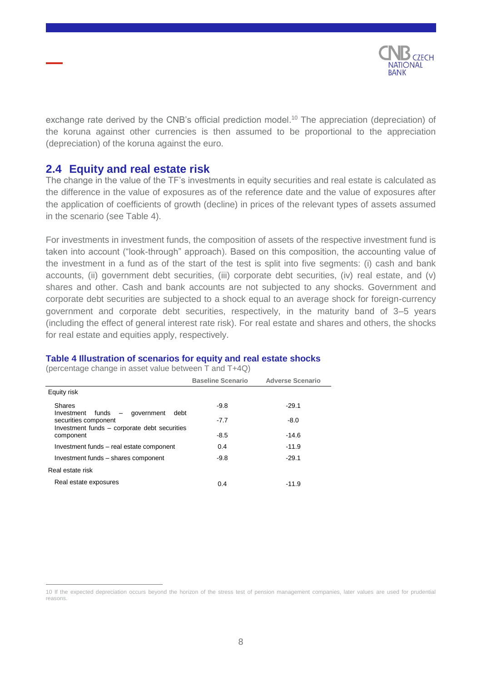

exchange rate derived by the CNB's official prediction model.<sup>10</sup> The appreciation (depreciation) of the koruna against other currencies is then assumed to be proportional to the appreciation (depreciation) of the koruna against the euro.

## <span id="page-7-0"></span>**2.4 Equity and real estate risk**

The change in the value of the TF's investments in equity securities and real estate is calculated as the difference in the value of exposures as of the reference date and the value of exposures after the application of coefficients of growth (decline) in prices of the relevant types of assets assumed in the scenario (see Table 4).

For investments in investment funds, the composition of assets of the respective investment fund is taken into account ("look-through" approach). Based on this composition, the accounting value of the investment in a fund as of the start of the test is split into five segments: (i) cash and bank accounts, (ii) government debt securities, (iii) corporate debt securities, (iv) real estate, and (v) shares and other. Cash and bank accounts are not subjected to any shocks. Government and corporate debt securities are subjected to a shock equal to an average shock for foreign-currency government and corporate debt securities, respectively, in the maturity band of 3–5 years (including the effect of general interest rate risk). For real estate and shares and others, the shocks for real estate and equities apply, respectively.

#### **Table 4 Illustration of scenarios for equity and real estate shocks**

(percentage change in asset value between T and T+4Q)

|                                                                                    | <b>Baseline Scenario</b> | <b>Adverse Scenario</b> |  |
|------------------------------------------------------------------------------------|--------------------------|-------------------------|--|
| Equity risk                                                                        |                          |                         |  |
| Shares<br>Investment funds –<br>debt                                               | $-9.8$                   | $-29.1$                 |  |
| government<br>securities component<br>Investment funds - corporate debt securities | $-7.7$                   | $-8.0$                  |  |
| component                                                                          | -8.5                     | $-14.6$                 |  |
| Investment funds - real estate component                                           | 0.4                      | $-11.9$                 |  |
| Investment funds - shares component                                                | $-9.8$                   | $-29.1$                 |  |
| Real estate risk                                                                   |                          |                         |  |
| Real estate exposures                                                              | 0.4                      | $-11.9$                 |  |

<sup>10</sup> If the expected depreciation occurs beyond the horizon of the stress test of pension management companies, later values are used for prudential reasons.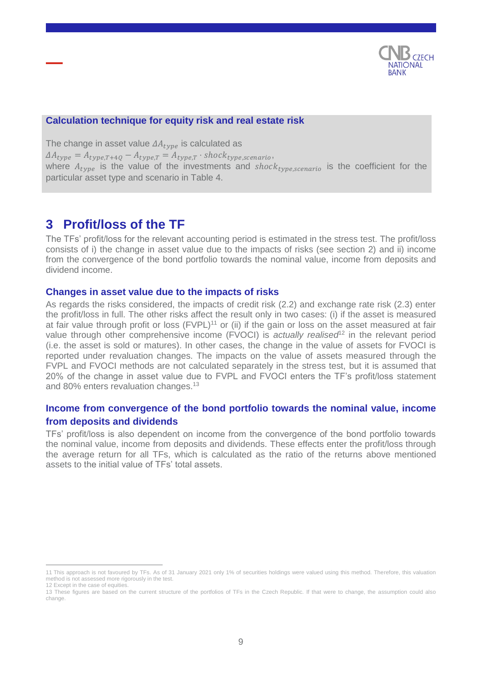

#### **Calculation technique for equity risk and real estate risk**

The change in asset value  $\Delta A_{\text{true}}$  is calculated as  $\Delta A_{type} = A_{type, T+4Q} - A_{type, T} = A_{type, T} \cdot shock_{type, scenario},$ where  $A_{type}$  is the value of the investments and shock<sub>type,scenario</sub> is the coefficient for the particular asset type and scenario in Table 4.

# <span id="page-8-0"></span>**3 Profit/loss of the TF**

The TFs' profit/loss for the relevant accounting period is estimated in the stress test. The profit/loss consists of i) the change in asset value due to the impacts of risks (see section 2) and ii) income from the convergence of the bond portfolio towards the nominal value, income from deposits and dividend income.

#### **Changes in asset value due to the impacts of risks**

As regards the risks considered, the impacts of credit risk (2.2) and exchange rate risk (2.3) enter the profit/loss in full. The other risks affect the result only in two cases: (i) if the asset is measured at fair value through profit or loss (FVPL)<sup>11</sup> or (ii) if the gain or loss on the asset measured at fair value through other comprehensive income (FVOCI) is *actually realised*<sup>12</sup> in the relevant period (i.e. the asset is sold or matures). In other cases, the change in the value of assets for FVOCI is reported under revaluation changes. The impacts on the value of assets measured through the FVPL and FVOCI methods are not calculated separately in the stress test, but it is assumed that 20% of the change in asset value due to FVPL and FVOCI enters the TF's profit/loss statement and 80% enters revaluation changes.<sup>13</sup>

## **Income from convergence of the bond portfolio towards the nominal value, income from deposits and dividends**

TFs' profit/loss is also dependent on income from the convergence of the bond portfolio towards the nominal value, income from deposits and dividends. These effects enter the profit/loss through the average return for all TFs, which is calculated as the ratio of the returns above mentioned assets to the initial value of TFs' total assets.

 $\overline{a}$ 11 This approach is not favoured by TFs. As of 31 January 2021 only 1% of securities holdings were valued using this method. Therefore, this valuation method is not assessed more rigorously in the test. 12 Except in the case of equities.

<sup>13</sup> These figures are based on the current structure of the portfolios of TFs in the Czech Republic. If that were to change, the assumption could also change.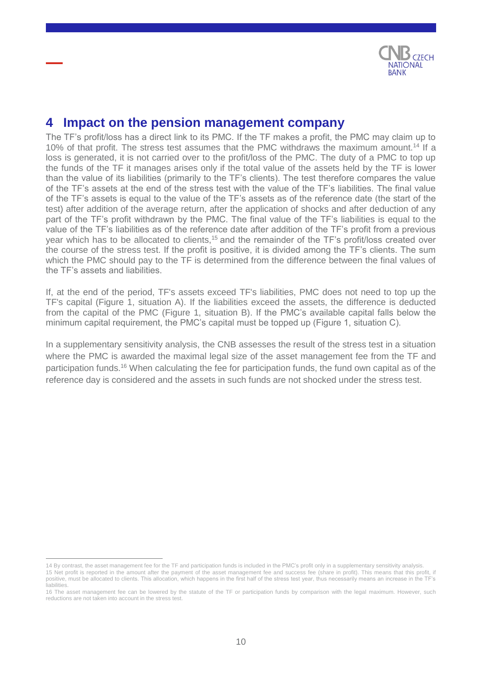

# <span id="page-9-0"></span>**4 Impact on the pension management company**

The TF's profit/loss has a direct link to its PMC. If the TF makes a profit, the PMC may claim up to 10% of that profit. The stress test assumes that the PMC withdraws the maximum amount.<sup>14</sup> If a loss is generated, it is not carried over to the profit/loss of the PMC. The duty of a PMC to top up the funds of the TF it manages arises only if the total value of the assets held by the TF is lower than the value of its liabilities (primarily to the TF's clients). The test therefore compares the value of the TF's assets at the end of the stress test with the value of the TF's liabilities. The final value of the TF's assets is equal to the value of the TF's assets as of the reference date (the start of the test) after addition of the average return, after the application of shocks and after deduction of any part of the TF's profit withdrawn by the PMC. The final value of the TF's liabilities is equal to the value of the TF's liabilities as of the reference date after addition of the TF's profit from a previous year which has to be allocated to clients,<sup>15</sup> and the remainder of the TF's profit/loss created over the course of the stress test. If the profit is positive, it is divided among the TF's clients. The sum which the PMC should pay to the TF is determined from the difference between the final values of the TF's assets and liabilities.

If, at the end of the period, TF's assets exceed TF's liabilities, PMC does not need to top up the TF's capital (Figure 1, situation A). If the liabilities exceed the assets, the difference is deducted from the capital of the PMC (Figure 1, situation B). If the PMC's available capital falls below the minimum capital requirement, the PMC's capital must be topped up (Figure 1, situation C).

In a supplementary sensitivity analysis, the CNB assesses the result of the stress test in a situation where the PMC is awarded the maximal legal size of the asset management fee from the TF and participation funds.<sup>16</sup> When calculating the fee for participation funds, the fund own capital as of the reference day is considered and the assets in such funds are not shocked under the stress test.

<sup>14</sup> By contrast, the asset management fee for the TF and participation funds is included in the PMC's profit only in a supplementary sensitivity analysis. 15 Net profit is reported in the amount after the payment of the asset management fee and success fee (share in profit). This means that this profit, if positive, must be allocated to clients. This allocation, which happens in the first half of the stress test year, thus necessarily means an increase in the TF's liabilities.

<sup>16</sup> The asset management fee can be lowered by the statute of the TF or participation funds by comparison with the legal maximum. However, such reductions are not taken into account in the stress test.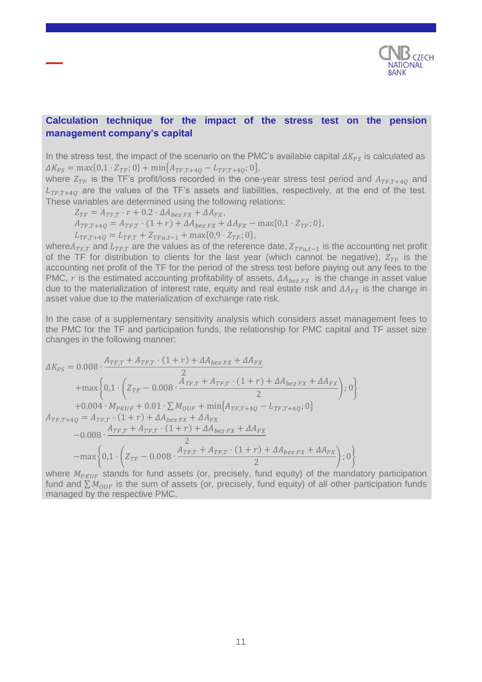

## **Calculation technique for the impact of the stress test on the pension management company's capital**

In the stress test, the impact of the scenario on the PMC's available capital  $\Delta K_{PS}$  is calculated as  $\Delta K_{PS} = \max\{0, 1 \cdot Z_{TF}; 0\} + \min\{A_{TF,T+4Q} - L_{TF,T+4Q}; 0\},\$ 

where  $Z_{TF}$  is the TF's profit/loss recorded in the one-year stress test period and  $A_{TF,T+40}$  and  $L_{TFT+40}$  are the values of the TF's assets and liabilities, respectively, at the end of the test. These variables are determined using the following relations:

$$
Z_{TF} = A_{TF,T} \cdot r + 0.2 \cdot \Delta A_{bez\,FX} + \Delta A_{FX},
$$
  
\n
$$
A_{TF,T+4Q} = A_{TF,T} \cdot (1+r) + \Delta A_{bez\,FX} + \Delta A_{FX} - \max\{0,1\cdot Z_{TF};0\},
$$
  
\n
$$
L_{TF,T+4Q} = L_{TF,T} + Z_{TFu,t-1} + \max\{0,9\cdot Z_{TF};0\},
$$

where $A_{TF,T}$  and  $L_{TF,T}$  are the values as of the reference date,  $Z_{TFu,t-1}$  is the accounting net profit of the TF for distribution to clients for the last year (which cannot be negative),  $Z_{TF}$  is the accounting net profit of the TF for the period of the stress test before paying out any fees to the PMC, r is the estimated accounting profitability of assets,  $\Delta A_{hexFX}$  is the change in asset value due to the materialization of interest rate, equity and real estate risk and  $\Delta A_{FX}$  is the change in asset value due to the materialization of exchange rate risk.

In the case of a supplementary sensitivity analysis which considers asset management fees to the PMC for the TF and participation funds, the relationship for PMC capital and TF asset size changes in the following manner:

$$
\Delta K_{PS} = 0.008 \cdot \frac{A_{TF,T} + A_{TF,T} \cdot (1+r) + \Delta A_{bez\, FX} + \Delta A_{FX}}{2}
$$
  
+
$$
\max \left\{ 0, 1 \cdot \left( Z_{TF} - 0.008 \cdot \frac{A_{TF,T} + A_{TF,T} \cdot (1+r) + \Delta A_{bez\, FX} + \Delta A_{FX}}{2} \right); 0 \right\}
$$
  
+0.004 \cdot M\_{PKUF} + 0.01 \cdot \sum M\_{OUT} + \min \{ A\_{TF,T+4Q} - L\_{TF,T+4Q}; 0 \}  
A\_{TF,T+4Q} = A\_{TF,T} \cdot (1+r) + \Delta A\_{bez\, FX} + \Delta A\_{FX}  
-0.008 \cdot \frac{A\_{TF,T} + A\_{TF,T} \cdot (1+r) + \Delta A\_{bez\, FX} + \Delta A\_{FX}}{2}  
-
$$
\max \left\{ 0, 1 \cdot \left( Z_{TF} - 0.008 \cdot \frac{A_{TF,T} + A_{TF,T} \cdot (1+r) + \Delta A_{bez\, FX} + \Delta A_{FX}}{2} \right); 0 \right\}
$$

where  $M_{PKHF}$  stands for fund assets (or, precisely, fund equity) of the mandatory participation fund and  $\sum M_{OIF}$  is the sum of assets (or, precisely, fund equity) of all other participation funds managed by the respective PMC.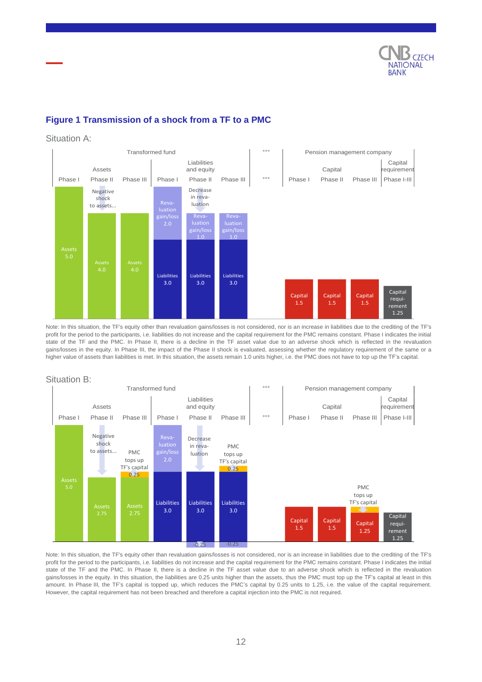

## **Figure 1 Transmission of a shock from a TF to a PMC**

#### Situation A:



Note: In this situation, the TF's equity other than revaluation gains/losses is not considered, nor is an increase in liabilities due to the crediting of the TF's profit for the period to the participants, i.e. liabilities do not increase and the capital requirement for the PMC remains constant. Phase I indicates the initial state of the TF and the PMC. In Phase II, there is a decline in the TF asset value due to an adverse shock which is reflected in the revaluation gains/losses in the equity. In Phase III, the impact of the Phase II shock is evaluated, assessing whether the regulatory requirement of the same or a higher value of assets than liabilities is met. In this situation, the assets remain 1.0 units higher, i.e. the PMC does not have to top up the TF's capital.

#### Situation B:



Note: In this situation, the TF's equity other than revaluation gains/losses is not considered, nor is an increase in liabilities due to the crediting of the TF's profit for the period to the participants, i.e. liabilities do not increase and the capital requirement for the PMC remains constant. Phase I indicates the initial state of the TF and the PMC. In Phase II, there is a decline in the TF asset value due to an adverse shock which is reflected in the revaluation gains/losses in the equity. In this situation, the liabilities are 0.25 units higher than the assets, thus the PMC must top up the TF's capital at least in this amount. In Phase III, the TF's capital is topped up, which reduces the PMC's capital by 0.25 units to 1.25, i.e. the value of the capital requirement. However, the capital requirement has not been breached and therefore a capital injection into the PMC is not required.